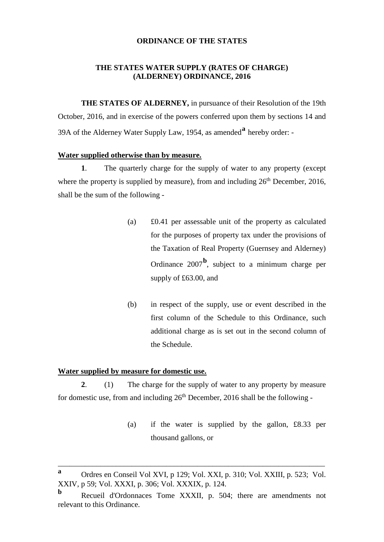### **ORDINANCE OF THE STATES**

### **THE STATES WATER SUPPLY (RATES OF CHARGE) (ALDERNEY) ORDINANCE, 2016**

**THE STATES OF ALDERNEY,** in pursuance of their Resolution of the 19th October, 2016, and in exercise of the powers conferred upon them by sections 14 and 39A of the Alderney Water Supply Law, 1954, as amended**[a](#page-0-0)** hereby order: -

#### **Water supplied otherwise than by measure.**

**1**. The quarterly charge for the supply of water to any property (except where the property is supplied by measure), from and including  $26<sup>th</sup>$  December, 2016, shall be the sum of the following -

- (a) £0.41 per assessable unit of the property as calculated for the purposes of property tax under the provisions of the Taxation of Real Property (Guernsey and Alderney) Ordinance 2007**[b](#page-0-1)** , subject to a minimum charge per supply of £63.00, and
- (b) in respect of the supply, use or event described in the first column of the Schedule to this Ordinance, such additional charge as is set out in the second column of the Schedule.

### **Water supplied by measure for domestic use.**

**2**. (1) The charge for the supply of water to any property by measure for domestic use, from and including  $26<sup>th</sup>$  December, 2016 shall be the following -

> (a) if the water is supplied by the gallon, £8.33 per thousand gallons, or

\_\_\_\_\_\_\_\_\_\_\_\_\_\_\_\_\_\_\_\_\_\_\_\_\_\_\_\_\_\_\_\_\_\_\_\_\_\_\_\_\_\_\_\_\_\_\_\_\_\_\_\_\_\_\_\_\_\_\_\_\_\_\_\_\_\_\_\_\_

<span id="page-0-0"></span>**<sup>a</sup>** Ordres en Conseil Vol XVI, p 129; Vol. XXI, p. 310; Vol. XXIII, p. 523; Vol. XXIV, p 59; Vol. XXXI, p. 306; Vol. XXXIX, p. 124.

<span id="page-0-1"></span>**b** Recueil d'Ordonnaces Tome XXXII, p. 504; there are amendments not relevant to this Ordinance.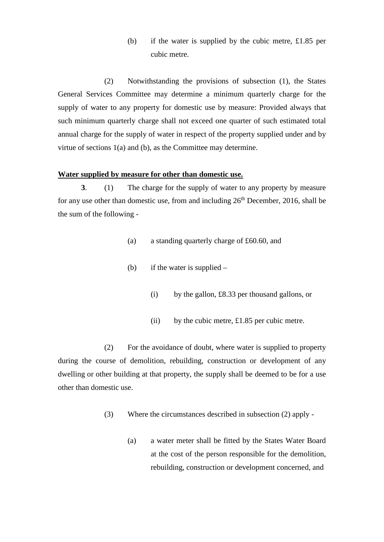(b) if the water is supplied by the cubic metre, £1.85 per cubic metre.

(2) Notwithstanding the provisions of subsection (1), the States General Services Committee may determine a minimum quarterly charge for the supply of water to any property for domestic use by measure: Provided always that such minimum quarterly charge shall not exceed one quarter of such estimated total annual charge for the supply of water in respect of the property supplied under and by virtue of sections 1(a) and (b), as the Committee may determine.

### **Water supplied by measure for other than domestic use.**

**3**. (1) The charge for the supply of water to any property by measure for any use other than domestic use, from and including  $26<sup>th</sup>$  December, 2016, shall be the sum of the following -

- (a) a standing quarterly charge of £60.60, and
- (b) if the water is supplied
	- (i) by the gallon, £8.33 per thousand gallons, or
	- (ii) by the cubic metre,  $\pounds1.85$  per cubic metre.

(2) For the avoidance of doubt, where water is supplied to property during the course of demolition, rebuilding, construction or development of any dwelling or other building at that property, the supply shall be deemed to be for a use other than domestic use.

- (3) Where the circumstances described in subsection (2) apply
	- (a) a water meter shall be fitted by the States Water Board at the cost of the person responsible for the demolition, rebuilding, construction or development concerned, and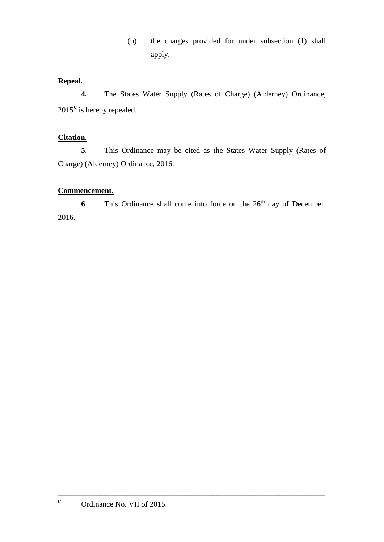(b) the charges provided for under subsection (1) shall apply.

## **Repeal.**

**4.** The States Water Supply (Rates of Charge) (Alderney) Ordinance, 2015**[c](#page-2-0)** is hereby repealed.

## **Citation.**

**5**. This Ordinance may be cited as the States Water Supply (Rates of Charge) (Alderney) Ordinance, 2016.

## **Commencement.**

**6**. This Ordinance shall come into force on the 26<sup>th</sup> day of December, 2016.

<span id="page-2-0"></span>\_\_\_\_\_\_\_\_\_\_\_\_\_\_\_\_\_\_\_\_\_\_\_\_\_\_\_\_\_\_\_\_\_\_\_\_\_\_\_\_\_\_\_\_\_\_\_\_\_\_\_\_\_\_\_\_\_\_\_\_\_\_\_\_\_\_\_\_\_